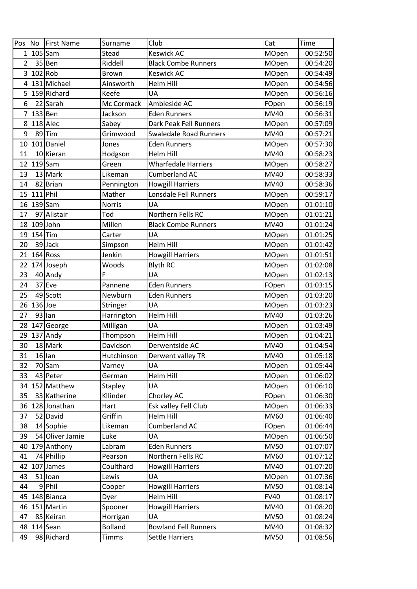| Pos            | N <sub>o</sub> | <b>First Name</b> | Surname        | Club                          | Cat          | Time     |
|----------------|----------------|-------------------|----------------|-------------------------------|--------------|----------|
| $1\vert$       |                | $105$ Sam         | Stead          | <b>Keswick AC</b>             | MOpen        | 00:52:50 |
| 2              |                | 35 Ben            | Riddell        | <b>Black Combe Runners</b>    | MOpen        | 00:54:20 |
| $\overline{3}$ |                | $102$ Rob         | <b>Brown</b>   | <b>Keswick AC</b>             | MOpen        | 00:54:49 |
| 4              |                | 131 Michael       | Ainsworth      | Helm Hill                     | MOpen        | 00:54:56 |
| 5 <sup>1</sup> |                | 159 Richard       | Keefe          | UA                            | MOpen        | 00:56:16 |
| 6              |                | 22 Sarah          | Mc Cormack     | Ambleside AC                  | FOpen        | 00:56:19 |
|                |                | 133 Ben           | Jackson        | <b>Eden Runners</b>           | MV40         | 00:56:31 |
| 8              |                | 118 Alec          | Sabey          | Dark Peak Fell Runners        | MOpen        | 00:57:09 |
| 9              |                | 89Tim             | Grimwood       | <b>Swaledale Road Runners</b> | MV40         | 00:57:21 |
| 10             |                | 101 Daniel        | Jones          | <b>Eden Runners</b>           | <b>MOpen</b> | 00:57:30 |
| 11             |                | 10 Kieran         | Hodgson        | Helm Hill                     | MV40         | 00:58:23 |
| 12             |                | $119$ Sam         | Green          | <b>Wharfedale Harriers</b>    | MOpen        | 00:58:27 |
| 13             |                | 13 Mark           | Likeman        | Cumberland AC                 | MV40         | 00:58:33 |
| 14             |                | 82 Brian          | Pennington     | <b>Howgill Harriers</b>       | MV40         | 00:58:36 |
| 15             | $111$ Phil     |                   | Mather         | Lonsdale Fell Runners         | MOpen        | 00:59:17 |
| 16             |                | $139$ Sam         | Norris         | UA                            | <b>MOpen</b> | 01:01:10 |
| 17             |                | 97 Alistair       | Tod            | Northern Fells RC             | MOpen        | 01:01:21 |
| 18             |                | $109$ John        | Millen         | <b>Black Combe Runners</b>    | <b>MV40</b>  | 01:01:24 |
| 19             | $154$ Tim      |                   | Carter         | <b>UA</b>                     | <b>MOpen</b> | 01:01:25 |
| 20             |                | 39 Jack           | Simpson        | <b>Helm Hill</b>              | MOpen        | 01:01:42 |
| 21             |                | $164$ Ross        | Jenkin         | <b>Howgill Harriers</b>       | <b>MOpen</b> | 01:01:51 |
| 22             |                | 174 Joseph        | Woods          | <b>Blyth RC</b>               | <b>MOpen</b> | 01:02:08 |
| 23             |                | 40 Andy           | F              | <b>UA</b>                     | <b>MOpen</b> | 01:02:13 |
| 24             |                | $37$ Eve          | Pannene        | <b>Eden Runners</b>           | FOpen        | 01:03:15 |
| 25             |                | 49 Scott          | Newburn        | <b>Eden Runners</b>           | MOpen        | 01:03:20 |
| 26             | $136$ Joe      |                   | Stringer       | UA                            | <b>MOpen</b> | 01:03:23 |
| 27             |                | $93$ lan          | Harrington     | Helm Hill                     | MV40         | 01:03:26 |
| 28             |                | 147 George        | Milligan       | <b>UA</b>                     | MOpen        | 01:03:49 |
| 29             |                | 137 Andy          | Thompson       | <b>Helm Hill</b>              | <b>MOpen</b> | 01:04:21 |
| 30             |                | 18 Mark           | Davidson       | Derwentside AC                | MV40         | 01:04:54 |
| 31             |                | $16$ lan          | Hutchinson     | Derwent valley TR             | MV40         | 01:05:18 |
| 32             |                | 70 Sam            | Varney         | UA                            | <b>MOpen</b> | 01:05:44 |
| 33             |                | 43 Peter          | German         | <b>Helm Hill</b>              | MOpen        | 01:06:02 |
| 34             |                | 152 Matthew       | <b>Stapley</b> | UA                            | <b>MOpen</b> | 01:06:10 |
| 35             |                | 33 Katherine      | Kllinder       | Chorley AC                    | FOpen        | 01:06:30 |
| 36             |                | 128 Jonathan      | Hart           | Esk valley Fell Club          | <b>MOpen</b> | 01:06:33 |
| 37             |                | 52 David          | Griffin        | <b>Helm Hill</b>              | MV60         | 01:06:40 |
| 38             |                | 14 Sophie         | Likeman        | <b>Cumberland AC</b>          | FOpen        | 01:06:44 |
| 39             |                | 54 Oliver Jamie   | Luke           | UA                            | MOpen        | 01:06:50 |
| 40             |                | 179 Anthony       | Labram         | <b>Eden Runners</b>           | <b>MV50</b>  | 01:07:07 |
| 41             |                | 74 Phillip        | Pearson        | Northern Fells RC             | <b>MV60</b>  | 01:07:12 |
| 42             |                | 107 James         | Coulthard      | <b>Howgill Harriers</b>       | MV40         | 01:07:20 |
| 43             |                | 51 loan           | Lewis          | UA                            | MOpen        | 01:07:36 |
| 44             |                | 9Phil             | Cooper         | <b>Howgill Harriers</b>       | <b>MV50</b>  | 01:08:14 |
| 45             |                | 148 Bianca        | Dyer           | Helm Hill                     | <b>FV40</b>  | 01:08:17 |
| 46             |                | 151 Martin        | Spooner        | <b>Howgill Harriers</b>       | MV40         | 01:08:20 |
| 47             |                | 85 Keiran         | Horrigan       | UA                            | <b>MV50</b>  | 01:08:24 |
| 48             |                | 114 Sean          | <b>Bolland</b> | <b>Bowland Fell Runners</b>   | <b>MV40</b>  | 01:08:32 |
| 49             |                | 98 Richard        | <b>Timms</b>   | <b>Settle Harriers</b>        | <b>MV50</b>  | 01:08:56 |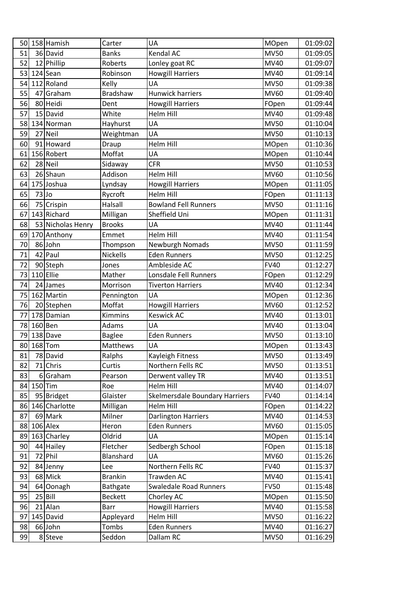| 50       |           | 158 Hamish             | Carter                | UA                                          | MOpen                      | 01:09:02             |
|----------|-----------|------------------------|-----------------------|---------------------------------------------|----------------------------|----------------------|
| 51       |           | 36 David               | <b>Banks</b>          | Kendal AC                                   | <b>MV50</b>                | 01:09:05             |
| 52       |           | 12 Phillip             | Roberts               | Lonley goat RC                              | MV40                       | 01:09:07             |
| 53       |           | $124$ Sean             | Robinson              | <b>Howgill Harriers</b>                     | <b>MV40</b>                | 01:09:14             |
| 54       |           | 112 Roland             | Kelly                 | UA                                          | <b>MV50</b>                | 01:09:38             |
| 55       |           | 47 Graham              | <b>Bradshaw</b>       | <b>Hunwick harriers</b>                     | MV60                       | 01:09:40             |
| 56       |           | 80 Heidi               | Dent                  | <b>Howgill Harriers</b>                     | FOpen                      | 01:09:44             |
| 57       |           | 15 David               | White                 | <b>Helm Hill</b>                            | MV40                       | 01:09:48             |
| 58       |           | 134 Norman             | Hayhurst              | <b>UA</b>                                   | <b>MV50</b>                | 01:10:04             |
| 59       |           | 27 Neil                | Weightman             | UA                                          | <b>MV50</b>                | 01:10:13             |
| 60       |           | 91 Howard              | Draup                 | <b>Helm Hill</b>                            | MOpen                      | 01:10:36             |
| 61       |           | 156 Robert             | Moffat                | UA                                          | MOpen                      | 01:10:44             |
| 62       |           | 28 Neil                | Sidaway               | <b>CFR</b>                                  | <b>MV50</b>                | 01:10:53             |
| 63       |           | 26 Shaun               | Addison               | <b>Helm Hill</b>                            | <b>MV60</b>                | 01:10:56             |
| 64       |           | 175 Joshua             | Lyndsay               | <b>Howgill Harriers</b>                     | <b>MOpen</b>               | 01:11:05             |
| 65       | $73$ Jo   |                        | Rycroft               | <b>Helm Hill</b>                            | FOpen                      | 01:11:13             |
| 66       |           | 75 Crispin             | Halsall               | <b>Bowland Fell Runners</b>                 | <b>MV50</b>                | 01:11:16             |
| 67       |           | 143 Richard            | Milligan              | Sheffield Uni                               | <b>MOpen</b>               | 01:11:31             |
| 68       |           | 53 Nicholas Henry      | <b>Brooks</b>         | UA                                          | <b>MV40</b>                | 01:11:44             |
| 69       |           | 170 Anthony            | Emmet                 | <b>Helm Hill</b>                            | <b>MV40</b>                | 01:11:54             |
| 70       |           | 86 John                | Thompson              | Newburgh Nomads                             | <b>MV50</b>                | 01:11:59             |
| 71       |           | 42 Paul                | Nickells              | <b>Eden Runners</b>                         | <b>MV50</b>                | 01:12:25             |
| 72       |           | 90 Steph               | Jones                 | Ambleside AC                                | <b>FV40</b>                | 01:12:27             |
| 73       |           | 110 Ellie              | Mather                | Lonsdale Fell Runners                       | FOpen                      | 01:12:29             |
| 74       |           | 24 James               | Morrison              | <b>Tiverton Harriers</b>                    | MV40                       | 01:12:34             |
| 75       |           | 162 Martin             | Pennington            | UA                                          | MOpen                      | 01:12:36             |
| 76       |           | 20 Stephen             | Moffat                | <b>Howgill Harriers</b>                     | <b>MV60</b>                | 01:12:52             |
| 77       |           | 178 Damian             | Kimmins               | <b>Keswick AC</b>                           | MV40                       | 01:13:01             |
| 78       | 160 Ben   |                        | Adams                 | UA                                          | MV40                       | 01:13:04             |
| 79       |           | 138 Dave               | <b>Baglee</b>         | <b>Eden Runners</b>                         | <b>MV50</b>                | 01:13:10             |
| 80       |           | $168$ Tom              | Matthews              | UA                                          | MOpen                      | 01:13:43             |
| 81       |           | 78 David               | Ralphs                | Kayleigh Fitness                            | <b>MV50</b>                | 01:13:49             |
| 82       |           | 71 Chris               | Curtis                | Northern Fells RC                           | <b>MV50</b>                | 01:13:51             |
| 83       |           | 6Graham                | Pearson               | Derwent valley TR                           | MV40                       | 01:13:51             |
| 84       | $150$ Tim |                        | Roe                   | Helm Hill                                   | <b>MV40</b>                | 01:14:07             |
| 85       |           | 95 Bridget             | Glaister              | Skelmersdale Boundary Harriers              | <b>FV40</b>                | 01:14:14             |
| 86       |           | 146 Charlotte          | Milligan              | Helm Hill                                   | FOpen                      | 01:14:22             |
| 87       |           | 69 Mark                | Milner                | <b>Darlington Harriers</b>                  | <b>MV40</b>                | 01:14:53             |
| 88       |           | $106$ Alex             | Heron                 | <b>Eden Runners</b>                         | <b>MV60</b>                | 01:15:05             |
| 89       |           | 163 Charley            | Oldrid                | UA                                          | <b>MOpen</b>               | 01:15:14             |
| 90       |           | 44 Hailey              | Fletcher              | Sedbergh School                             | FOpen                      | 01:15:18             |
| 91       |           | 72 Phil                | Blanshard             | UA                                          | <b>MV60</b>                | 01:15:26             |
| 92<br>93 |           | 84 Jenny<br>68 Mick    | Lee<br><b>Brankin</b> | Northern Fells RC<br>Trawden AC             | <b>FV40</b><br><b>MV40</b> | 01:15:37<br>01:15:41 |
|          |           |                        |                       |                                             |                            |                      |
| 94       |           | 64 Oonagh<br>$25$ Bill | Bathgate              | <b>Swaledale Road Runners</b>               | <b>FV50</b>                | 01:15:48             |
| 95       |           |                        | <b>Beckett</b>        | Chorley AC                                  | <b>MOpen</b>               | 01:15:50             |
| 96<br>97 |           | 21 Alan<br>145 David   | <b>Barr</b>           | <b>Howgill Harriers</b><br><b>Helm Hill</b> | <b>MV40</b>                | 01:15:58             |
| 98       |           | 66John                 | Appleyard<br>Tombs    | <b>Eden Runners</b>                         | <b>MV50</b><br>MV40        | 01:16:22<br>01:16:27 |
|          |           |                        |                       |                                             |                            |                      |
| 99       |           | 8 Steve                | Seddon                | Dallam RC                                   | <b>MV50</b>                | 01:16:29             |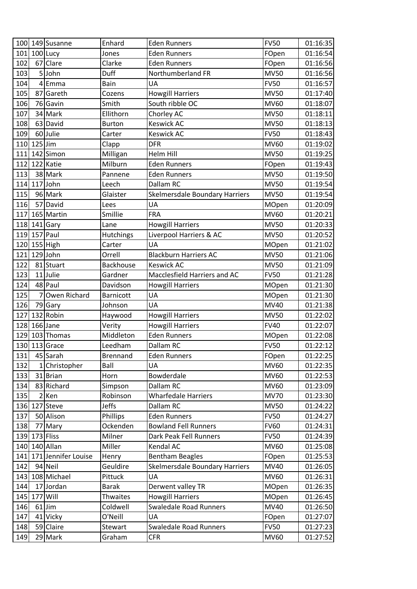| 100 <sup>1</sup> |           | 149 Susanne             | Enhard           | <b>Eden Runners</b>                   | <b>FV50</b>  | 01:16:35 |
|------------------|-----------|-------------------------|------------------|---------------------------------------|--------------|----------|
| 101              |           | 100 Lucy                | Jones            | <b>Eden Runners</b>                   | FOpen        | 01:16:54 |
| 102              |           | 67 Clare                | Clarke           | <b>Eden Runners</b>                   | FOpen        | 01:16:56 |
| 103              |           | 5John                   | Duff             | Northumberland FR                     | <b>MV50</b>  | 01:16:56 |
| 104              |           | 4Emma                   | Bain             | UA                                    | <b>FV50</b>  | 01:16:57 |
| 105              |           | 87 Gareth               | Cozens           | <b>Howgill Harriers</b>               | <b>MV50</b>  | 01:17:40 |
| 106              |           | 76 Gavin                | Smith            | South ribble OC                       | <b>MV60</b>  | 01:18:07 |
| 107              |           | 34 Mark                 | Ellithorn        | Chorley AC                            | <b>MV50</b>  | 01:18:11 |
| 108              |           | 63 David                | <b>Burton</b>    | <b>Keswick AC</b>                     | <b>MV50</b>  | 01:18:13 |
| 109              |           | 60Julie                 | Carter           | Keswick AC                            | <b>FV50</b>  | 01:18:43 |
| 110              | $125$ Jim |                         | Clapp            | <b>DFR</b>                            | MV60         | 01:19:02 |
| 111              |           | 142 Simon               | Milligan         | <b>Helm Hill</b>                      | <b>MV50</b>  | 01:19:25 |
| 112              |           | 122 Katie               | Milburn          | <b>Eden Runners</b>                   | FOpen        | 01:19:43 |
| 113              |           | 38 Mark                 | Pannene          | <b>Eden Runners</b>                   | <b>MV50</b>  | 01:19:50 |
| 114              |           | $117$ John              | Leech            | Dallam RC                             | <b>MV50</b>  | 01:19:54 |
| 115              |           | 96 Mark                 | Glaister         | <b>Skelmersdale Boundary Harriers</b> | <b>MV50</b>  | 01:19:54 |
| 116              |           | 57 David                | Lees             | UA                                    | MOpen        | 01:20:09 |
| 117              |           | 165 Martin              | Smillie          | <b>FRA</b>                            | MV60         | 01:20:21 |
| 118              |           | $141$ Gary              | Lane             | <b>Howgill Harriers</b>               | <b>MV50</b>  | 01:20:33 |
| 119              |           | 157 Paul                | <b>Hutchings</b> | Liverpool Harriers & AC               | <b>MV50</b>  | 01:20:52 |
| 120              |           | 155 High                | Carter           | UA                                    | MOpen        | 01:21:02 |
| 121              |           | $129$ John              | Orrell           | <b>Blackburn Harriers AC</b>          | <b>MV50</b>  | 01:21:06 |
| 122              |           | 81 Stuart               | <b>Backhouse</b> | <b>Keswick AC</b>                     | <b>MV50</b>  | 01:21:09 |
| 123              |           | 11 Julie                | Gardner          | Macclesfield Harriers and AC          | <b>FV50</b>  | 01:21:28 |
| 124              |           | 48 Paul                 | Davidson         | <b>Howgill Harriers</b>               | <b>MOpen</b> | 01:21:30 |
| 125              |           | 7 Owen Richard          | <b>Barnicott</b> | UA                                    | MOpen        | 01:21:30 |
| 126              |           | 79 Gary                 | Johnson          | UA                                    | MV40         | 01:21:38 |
| 127              |           | 132 Robin               | Haywood          | <b>Howgill Harriers</b>               | <b>MV50</b>  | 01:22:02 |
| 128              |           | $166$ Jane              | Verity           | <b>Howgill Harriers</b>               | <b>FV40</b>  | 01:22:07 |
| 129              |           | 103 Thomas              | Middleton        | <b>Eden Runners</b>                   | <b>MOpen</b> | 01:22:08 |
| 130              |           | 113 Grace               | Leedham          | Dallam RC                             | <b>FV50</b>  | 01:22:12 |
| 131              |           | 45 Sarah                | <b>Brennand</b>  | <b>Eden Runners</b>                   | FOpen        | 01:22:25 |
| 132              |           | 1 Christopher           | Ball             | UA                                    | MV60         | 01:22:35 |
| 133              |           | 31 Brian                | Horn             | Bowderdale                            | <b>MV60</b>  | 01:22:53 |
| 134              |           | 83 Richard              | Simpson          | Dallam RC                             | <b>MV60</b>  | 01:23:09 |
| 135              |           | $2$ Ken                 | Robinson         | <b>Wharfedale Harriers</b>            | <b>MV70</b>  | 01:23:30 |
| 136              |           | 127 Steve               | Jeffs            | Dallam RC                             | <b>MV50</b>  | 01:24:22 |
| 137              |           | 50 Alison               | Phillips         | <b>Eden Runners</b>                   | <b>FV50</b>  | 01:24:27 |
| 138              |           | 77 Mary                 | Ockenden         | <b>Bowland Fell Runners</b>           | <b>FV60</b>  | 01:24:31 |
| 139              |           | 173 Fliss               | Milner           | Dark Peak Fell Runners                | <b>FV50</b>  | 01:24:39 |
| 140              |           | 140 Allan               | Miller           | Kendal AC                             | MV60         | 01:25:08 |
|                  |           | 141 171 Jennifer Louise | Henry            | <b>Bentham Beagles</b>                | FOpen        | 01:25:53 |
| 142              |           | 94 Neil                 | Geuldire         | <b>Skelmersdale Boundary Harriers</b> | MV40         | 01:26:05 |
| 143              |           | 108 Michael             | Pittuck          | UA                                    | <b>MV60</b>  | 01:26:31 |
| 144              |           | 17 Jordan               | <b>Barak</b>     | Derwent valley TR                     | <b>MOpen</b> | 01:26:35 |
| 145              | 177       | Will                    | Thwaites         | <b>Howgill Harriers</b>               | <b>MOpen</b> | 01:26:45 |
| 146              |           | $61$ Jim                | Coldwell         | <b>Swaledale Road Runners</b>         | MV40         | 01:26:50 |
| 147              |           | 41 Vicky                | O'Neill          | UA                                    | FOpen        | 01:27:07 |
| 148              |           | 59 Claire               | <b>Stewart</b>   | <b>Swaledale Road Runners</b>         | <b>FV50</b>  | 01:27:23 |
| 149              |           | 29 Mark                 | Graham           | <b>CFR</b>                            | <b>MV60</b>  | 01:27:52 |